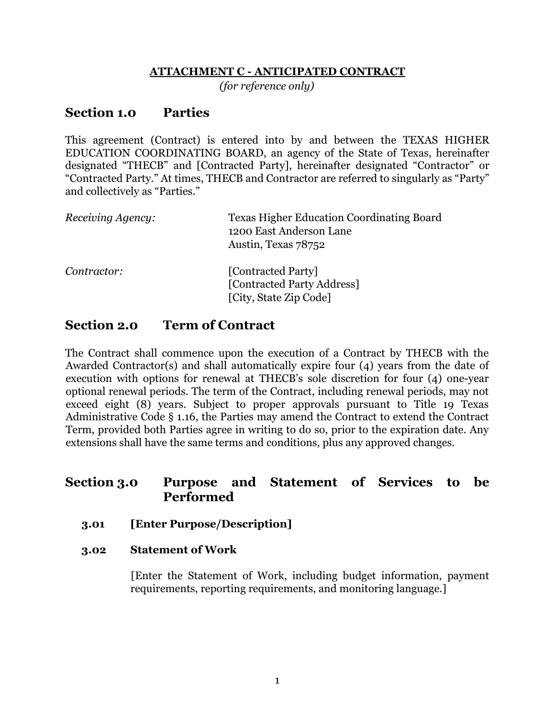#### **ATTACHMENT C - ANTICIPATED CONTRACT**

*(for reference only)*

## **Section 1.0 Parties**

This agreement (Contract) is entered into by and between the TEXAS HIGHER EDUCATION COORDINATING BOARD, an agency of the State of Texas, hereinafter designated "THECB" and [Contracted Party], hereinafter designated "Contractor" or "Contracted Party." At times, THECB and Contractor are referred to singularly as "Party" and collectively as "Parties."

| Receiving Agency: | <b>Texas Higher Education Coordinating Board</b><br>1200 East Anderson Lane<br>Austin, Texas 78752 |
|-------------------|----------------------------------------------------------------------------------------------------|
| Contractor:       | [Contracted Party]<br>[Contracted Party Address]<br>[City, State Zip Code]                         |

## **Section 2.0 Term of Contract**

The Contract shall commence upon the execution of a Contract by THECB with the Awarded Contractor(s) and shall automatically expire four (4) years from the date of execution with options for renewal at THECB's sole discretion for four (4) one-year optional renewal periods. The term of the Contract, including renewal periods, may not exceed eight (8) years. Subject to proper approvals pursuant to Title 19 Texas Administrative Code § 1.16, the Parties may amend the Contract to extend the Contract Term, provided both Parties agree in writing to do so, prior to the expiration date. Any extensions shall have the same terms and conditions, plus any approved changes.

## **Section 3.0 Purpose and Statement of Services to be Performed**

### **3.01 [Enter Purpose/Description]**

### **3.02 Statement of Work**

[Enter the Statement of Work, including budget information, payment requirements, reporting requirements, and monitoring language.]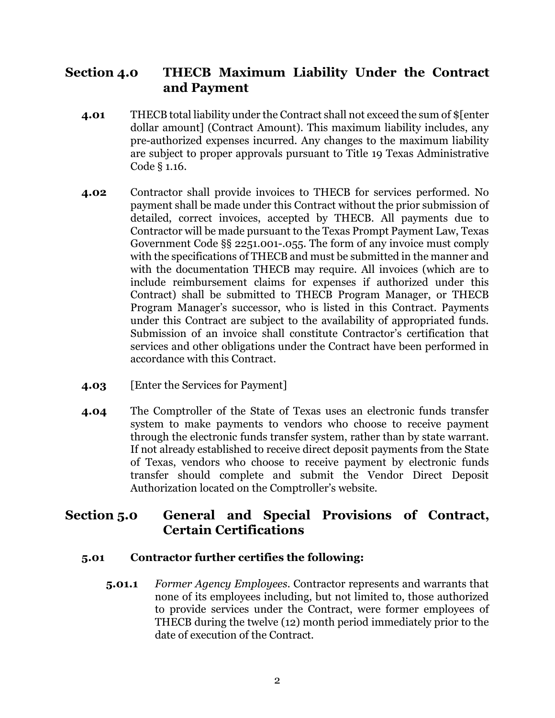## **Section 4.0 THECB Maximum Liability Under the Contract and Payment**

- **4.01** THECB total liability under the Contract shall not exceed the sum of \$[enter dollar amount] (Contract Amount). This maximum liability includes, any pre-authorized expenses incurred. Any changes to the maximum liability are subject to proper approvals pursuant to Title 19 Texas Administrative Code § 1.16.
- **4.02** Contractor shall provide invoices to THECB for services performed. No payment shall be made under this Contract without the prior submission of detailed, correct invoices, accepted by THECB. All payments due to Contractor will be made pursuant to the Texas Prompt Payment Law, Texas Government Code §§ 2251.001-.055. The form of any invoice must comply with the specifications of THECB and must be submitted in the manner and with the documentation THECB may require. All invoices (which are to include reimbursement claims for expenses if authorized under this Contract) shall be submitted to THECB Program Manager, or THECB Program Manager's successor, who is listed in this Contract. Payments under this Contract are subject to the availability of appropriated funds. Submission of an invoice shall constitute Contractor's certification that services and other obligations under the Contract have been performed in accordance with this Contract.
- **4.03** [Enter the Services for Payment]
- **4.04** The Comptroller of the State of Texas uses an electronic funds transfer system to make payments to vendors who choose to receive payment through the electronic funds transfer system, rather than by state warrant. If not already established to receive direct deposit payments from the State of Texas, vendors who choose to receive payment by electronic funds transfer should complete and submit the Vendor Direct Deposit Authorization located on the Comptroller's website.

# **Section 5.0 General and Special Provisions of Contract, Certain Certifications**

### **5.01 Contractor further certifies the following:**

**5.01.1** *Former Agency Employees*. Contractor represents and warrants that none of its employees including, but not limited to, those authorized to provide services under the Contract, were former employees of THECB during the twelve (12) month period immediately prior to the date of execution of the Contract.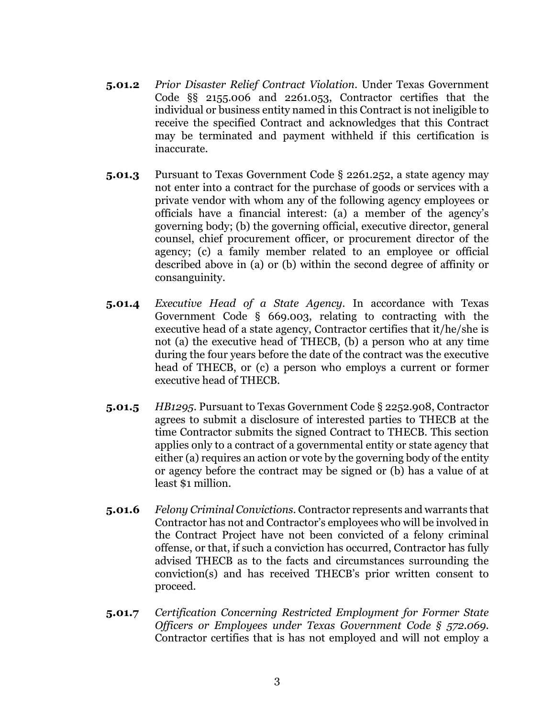- **5.01.2** *Prior Disaster Relief Contract Violation*. Under Texas Government Code §§ 2155.006 and 2261.053, Contractor certifies that the individual or business entity named in this Contract is not ineligible to receive the specified Contract and acknowledges that this Contract may be terminated and payment withheld if this certification is inaccurate.
- **5.01.3** Pursuant to Texas Government Code § 2261.252, a state agency may not enter into a contract for the purchase of goods or services with a private vendor with whom any of the following agency employees or officials have a financial interest: (a) a member of the agency's governing body; (b) the governing official, executive director, general counsel, chief procurement officer, or procurement director of the agency; (c) a family member related to an employee or official described above in (a) or (b) within the second degree of affinity or consanguinity.
- **5.01.4** *Executive Head of a State Agency*. In accordance with Texas Government Code § 669.003, relating to contracting with the executive head of a state agency, Contractor certifies that it/he/she is not (a) the executive head of THECB, (b) a person who at any time during the four years before the date of the contract was the executive head of THECB, or (c) a person who employs a current or former executive head of THECB.
- **5.01.5** *HB1295*. Pursuant to Texas Government Code § 2252.908, Contractor agrees to submit a disclosure of interested parties to THECB at the time Contractor submits the signed Contract to THECB. This section applies only to a contract of a governmental entity or state agency that either (a) requires an action or vote by the governing body of the entity or agency before the contract may be signed or (b) has a value of at least \$1 million.
- **5.01.6** *Felony Criminal Convictions*. Contractor represents and warrants that Contractor has not and Contractor's employees who will be involved in the Contract Project have not been convicted of a felony criminal offense, or that, if such a conviction has occurred, Contractor has fully advised THECB as to the facts and circumstances surrounding the conviction(s) and has received THECB's prior written consent to proceed.
- **5.01.7** *Certification Concerning Restricted Employment for Former State Officers or Employees under Texas Government Code § 572.069*. Contractor certifies that is has not employed and will not employ a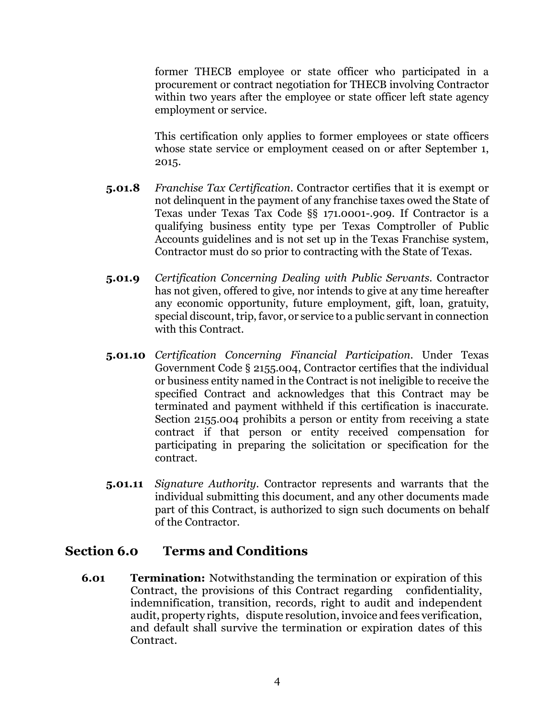former THECB employee or state officer who participated in a procurement or contract negotiation for THECB involving Contractor within two years after the employee or state officer left state agency employment or service.

This certification only applies to former employees or state officers whose state service or employment ceased on or after September 1, 2015.

- **5.01.8** *Franchise Tax Certification*. Contractor certifies that it is exempt or not delinquent in the payment of any franchise taxes owed the State of Texas under Texas Tax Code §§ 171.0001-.909. If Contractor is a qualifying business entity type per Texas Comptroller of Public Accounts guidelines and is not set up in the Texas Franchise system, Contractor must do so prior to contracting with the State of Texas.
- **5.01.9** *Certification Concerning Dealing with Public Servants*. Contractor has not given, offered to give, nor intends to give at any time hereafter any economic opportunity, future employment, gift, loan, gratuity, special discount, trip, favor, or service to a public servant in connection with this Contract.
- **5.01.10** *Certification Concerning Financial Participation*. Under Texas Government Code § 2155.004, Contractor certifies that the individual or business entity named in the Contract is not ineligible to receive the specified Contract and acknowledges that this Contract may be terminated and payment withheld if this certification is inaccurate. Section 2155.004 prohibits a person or entity from receiving a state contract if that person or entity received compensation for participating in preparing the solicitation or specification for the contract.
- **5.01.11** *Signature Authority*. Contractor represents and warrants that the individual submitting this document, and any other documents made part of this Contract, is authorized to sign such documents on behalf of the Contractor.

### **Section 6.0 Terms and Conditions**

**6.01 Termination:** Notwithstanding the termination or expiration of this Contract, the provisions of this Contract regarding confidentiality, indemnification, transition, records, right to audit and independent audit, property rights, dispute resolution, invoice and fees verification, and default shall survive the termination or expiration dates of this Contract.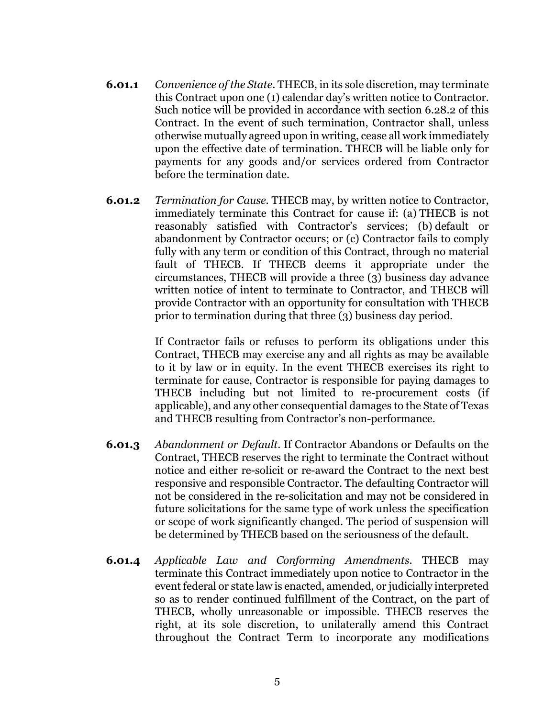- **6.01.1** *Convenience of the State*. THECB, in its sole discretion, may terminate this Contract upon one (1) calendar day's written notice to Contractor. Such notice will be provided in accordance with section 6.28.2 of this Contract. In the event of such termination, Contractor shall, unless otherwise mutually agreed upon in writing, cease all work immediately upon the effective date of termination. THECB will be liable only for payments for any goods and/or services ordered from Contractor before the termination date.
- **6.01.2** *Termination for Cause*. THECB may, by written notice to Contractor, immediately terminate this Contract for cause if: (a) THECB is not reasonably satisfied with Contractor's services; (b) default or abandonment by Contractor occurs; or (c) Contractor fails to comply fully with any term or condition of this Contract, through no material fault of THECB. If THECB deems it appropriate under the circumstances, THECB will provide a three (3) business day advance written notice of intent to terminate to Contractor, and THECB will provide Contractor with an opportunity for consultation with THECB prior to termination during that three (3) business day period.

If Contractor fails or refuses to perform its obligations under this Contract, THECB may exercise any and all rights as may be available to it by law or in equity. In the event THECB exercises its right to terminate for cause, Contractor is responsible for paying damages to THECB including but not limited to re-procurement costs (if applicable), and any other consequential damages to the State of Texas and THECB resulting from Contractor's non-performance.

- **6.01.3** *Abandonment or Default*. If Contractor Abandons or Defaults on the Contract, THECB reserves the right to terminate the Contract without notice and either re-solicit or re-award the Contract to the next best responsive and responsible Contractor. The defaulting Contractor will not be considered in the re-solicitation and may not be considered in future solicitations for the same type of work unless the specification or scope of work significantly changed. The period of suspension will be determined by THECB based on the seriousness of the default.
- **6.01.4** *Applicable Law and Conforming Amendments*. THECB may terminate this Contract immediately upon notice to Contractor in the event federal or state law is enacted, amended, or judicially interpreted so as to render continued fulfillment of the Contract, on the part of THECB, wholly unreasonable or impossible. THECB reserves the right, at its sole discretion, to unilaterally amend this Contract throughout the Contract Term to incorporate any modifications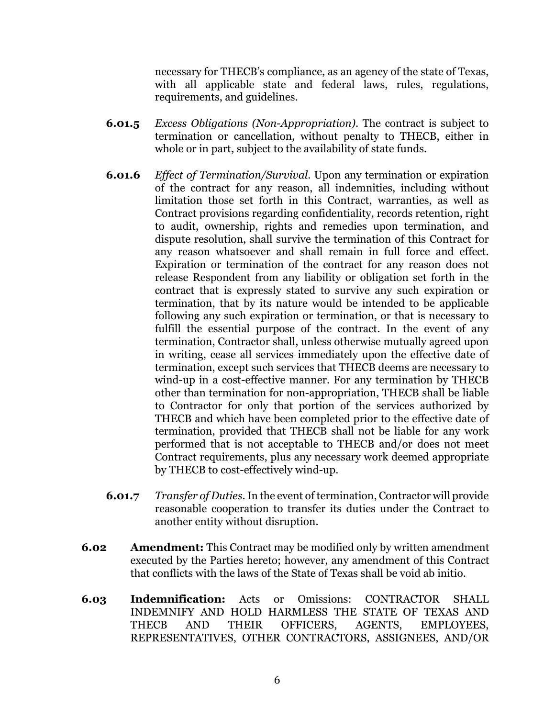necessary for THECB's compliance, as an agency of the state of Texas, with all applicable state and federal laws, rules, regulations, requirements, and guidelines.

- **6.01.5** *Excess Obligations (Non-Appropriation)*. The contract is subject to termination or cancellation, without penalty to THECB, either in whole or in part, subject to the availability of state funds.
- **6.01.6** *Effect of Termination/Survival*. Upon any termination or expiration of the contract for any reason, all indemnities, including without limitation those set forth in this Contract, warranties, as well as Contract provisions regarding confidentiality, records retention, right to audit, ownership, rights and remedies upon termination, and dispute resolution, shall survive the termination of this Contract for any reason whatsoever and shall remain in full force and effect. Expiration or termination of the contract for any reason does not release Respondent from any liability or obligation set forth in the contract that is expressly stated to survive any such expiration or termination, that by its nature would be intended to be applicable following any such expiration or termination, or that is necessary to fulfill the essential purpose of the contract. In the event of any termination, Contractor shall, unless otherwise mutually agreed upon in writing, cease all services immediately upon the effective date of termination, except such services that THECB deems are necessary to wind-up in a cost-effective manner. For any termination by THECB other than termination for non-appropriation, THECB shall be liable to Contractor for only that portion of the services authorized by THECB and which have been completed prior to the effective date of termination, provided that THECB shall not be liable for any work performed that is not acceptable to THECB and/or does not meet Contract requirements, plus any necessary work deemed appropriate by THECB to cost-effectively wind-up.
- **6.01.7** *Transfer of Duties*.In the event of termination, Contractor will provide reasonable cooperation to transfer its duties under the Contract to another entity without disruption.
- **6.02 Amendment:** This Contract may be modified only by written amendment executed by the Parties hereto; however, any amendment of this Contract that conflicts with the laws of the State of Texas shall be void ab initio.
- **6.03 Indemnification:** Acts or Omissions: CONTRACTOR SHALL INDEMNIFY AND HOLD HARMLESS THE STATE OF TEXAS AND THECB AND THEIR OFFICERS, AGENTS, EMPLOYEES, REPRESENTATIVES, OTHER CONTRACTORS, ASSIGNEES, AND/OR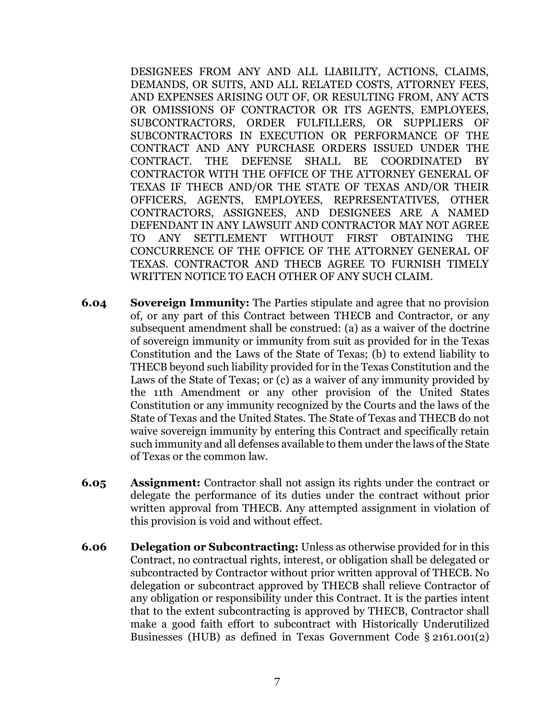DESIGNEES FROM ANY AND ALL LIABILITY, ACTIONS, CLAIMS, DEMANDS, OR SUITS, AND ALL RELATED COSTS, ATTORNEY FEES, AND EXPENSES ARISING OUT OF, OR RESULTING FROM, ANY ACTS OR OMISSIONS OF CONTRACTOR OR ITS AGENTS, EMPLOYEES, SUBCONTRACTORS, ORDER FULFILLERS, OR SUPPLIERS OF SUBCONTRACTORS IN EXECUTION OR PERFORMANCE OF THE CONTRACT AND ANY PURCHASE ORDERS ISSUED UNDER THE CONTRACT. THE DEFENSE SHALL BE COORDINATED BY CONTRACTOR WITH THE OFFICE OF THE ATTORNEY GENERAL OF TEXAS IF THECB AND/OR THE STATE OF TEXAS AND/OR THEIR OFFICERS, AGENTS, EMPLOYEES, REPRESENTATIVES, OTHER CONTRACTORS, ASSIGNEES, AND DESIGNEES ARE A NAMED DEFENDANT IN ANY LAWSUIT AND CONTRACTOR MAY NOT AGREE TO ANY SETTLEMENT WITHOUT FIRST OBTAINING THE CONCURRENCE OF THE OFFICE OF THE ATTORNEY GENERAL OF TEXAS. CONTRACTOR AND THECB AGREE TO FURNISH TIMELY WRITTEN NOTICE TO EACH OTHER OF ANY SUCH CLAIM.

- **6.04 Sovereign Immunity:** The Parties stipulate and agree that no provision of, or any part of this Contract between THECB and Contractor, or any subsequent amendment shall be construed: (a) as a waiver of the doctrine of sovereign immunity or immunity from suit as provided for in the Texas Constitution and the Laws of the State of Texas; (b) to extend liability to THECB beyond such liability provided for in the Texas Constitution and the Laws of the State of Texas; or (c) as a waiver of any immunity provided by the 11th Amendment or any other provision of the United States Constitution or any immunity recognized by the Courts and the laws of the State of Texas and the United States. The State of Texas and THECB do not waive sovereign immunity by entering this Contract and specifically retain such immunity and all defenses available to them under the laws of the State of Texas or the common law.
- **6.05 Assignment:** Contractor shall not assign its rights under the contract or delegate the performance of its duties under the contract without prior written approval from THECB. Any attempted assignment in violation of this provision is void and without effect.
- **6.06 Delegation or Subcontracting:** Unless as otherwise provided for in this Contract, no contractual rights, interest, or obligation shall be delegated or subcontracted by Contractor without prior written approval of THECB. No delegation or subcontract approved by THECB shall relieve Contractor of any obligation or responsibility under this Contract. It is the parties intent that to the extent subcontracting is approved by THECB, Contractor shall make a good faith effort to subcontract with Historically Underutilized Businesses (HUB) as defined in Texas Government Code § 2161.001(2)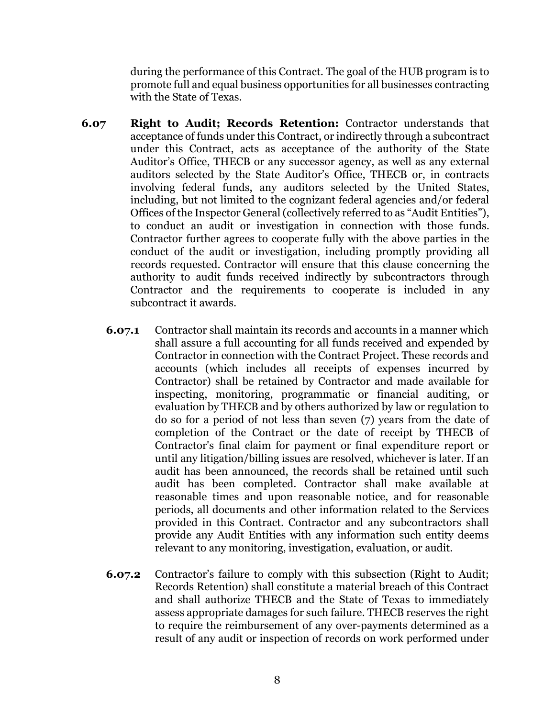during the performance of this Contract. The goal of the HUB program is to promote full and equal business opportunities for all businesses contracting with the State of Texas.

- **6.07 Right to Audit; Records Retention:** Contractor understands that acceptance of funds under this Contract, or indirectly through a subcontract under this Contract, acts as acceptance of the authority of the State Auditor's Office, THECB or any successor agency, as well as any external auditors selected by the State Auditor's Office, THECB or, in contracts involving federal funds, any auditors selected by the United States, including, but not limited to the cognizant federal agencies and/or federal Offices of the Inspector General (collectively referred to as "Audit Entities"), to conduct an audit or investigation in connection with those funds. Contractor further agrees to cooperate fully with the above parties in the conduct of the audit or investigation, including promptly providing all records requested. Contractor will ensure that this clause concerning the authority to audit funds received indirectly by subcontractors through Contractor and the requirements to cooperate is included in any subcontract it awards.
	- **6.07.1** Contractor shall maintain its records and accounts in a manner which shall assure a full accounting for all funds received and expended by Contractor in connection with the Contract Project. These records and accounts (which includes all receipts of expenses incurred by Contractor) shall be retained by Contractor and made available for inspecting, monitoring, programmatic or financial auditing, or evaluation by THECB and by others authorized by law or regulation to do so for a period of not less than seven (7) years from the date of completion of the Contract or the date of receipt by THECB of Contractor's final claim for payment or final expenditure report or until any litigation/billing issues are resolved, whichever is later. If an audit has been announced, the records shall be retained until such audit has been completed. Contractor shall make available at reasonable times and upon reasonable notice, and for reasonable periods, all documents and other information related to the Services provided in this Contract. Contractor and any subcontractors shall provide any Audit Entities with any information such entity deems relevant to any monitoring, investigation, evaluation, or audit.
	- **6.07.2** Contractor's failure to comply with this subsection (Right to Audit; Records Retention) shall constitute a material breach of this Contract and shall authorize THECB and the State of Texas to immediately assess appropriate damages for such failure. THECB reserves the right to require the reimbursement of any over-payments determined as a result of any audit or inspection of records on work performed under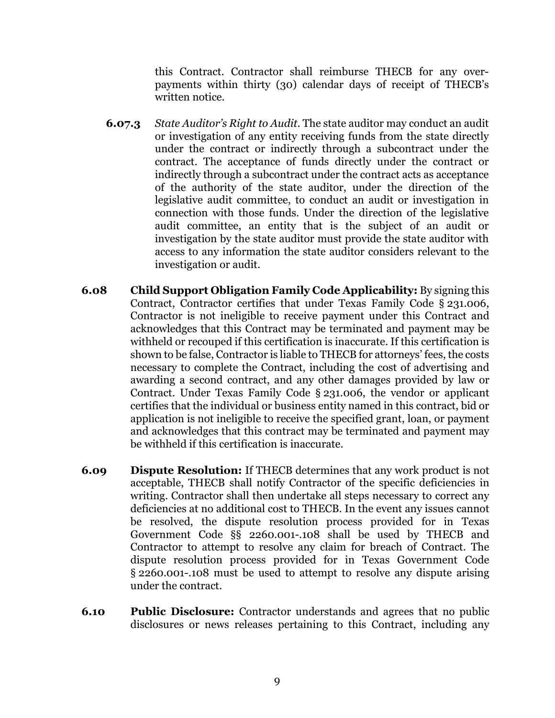this Contract. Contractor shall reimburse THECB for any overpayments within thirty (30) calendar days of receipt of THECB's written notice.

- **6.07.3** *State Auditor's Right to Audit*. The state auditor may conduct an audit or investigation of any entity receiving funds from the state directly under the contract or indirectly through a subcontract under the contract. The acceptance of funds directly under the contract or indirectly through a subcontract under the contract acts as acceptance of the authority of the state auditor, under the direction of the legislative audit committee, to conduct an audit or investigation in connection with those funds. Under the direction of the legislative audit committee, an entity that is the subject of an audit or investigation by the state auditor must provide the state auditor with access to any information the state auditor considers relevant to the investigation or audit.
- **6.08 Child Support Obligation Family Code Applicability:** By signing this Contract, Contractor certifies that under Texas Family Code § 231.006, Contractor is not ineligible to receive payment under this Contract and acknowledges that this Contract may be terminated and payment may be withheld or recouped if this certification is inaccurate. If this certification is shown to be false, Contractor is liable to THECB for attorneys' fees, the costs necessary to complete the Contract, including the cost of advertising and awarding a second contract, and any other damages provided by law or Contract. Under Texas Family Code § 231.006, the vendor or applicant certifies that the individual or business entity named in this contract, bid or application is not ineligible to receive the specified grant, loan, or payment and acknowledges that this contract may be terminated and payment may be withheld if this certification is inaccurate.
- **6.09 Dispute Resolution:** If THECB determines that any work product is not acceptable, THECB shall notify Contractor of the specific deficiencies in writing. Contractor shall then undertake all steps necessary to correct any deficiencies at no additional cost to THECB. In the event any issues cannot be resolved, the dispute resolution process provided for in Texas Government Code §§ 2260.001-.108 shall be used by THECB and Contractor to attempt to resolve any claim for breach of Contract. The dispute resolution process provided for in Texas Government Code § 2260.001-.108 must be used to attempt to resolve any dispute arising under the contract.
- **6.10 Public Disclosure:** Contractor understands and agrees that no public disclosures or news releases pertaining to this Contract, including any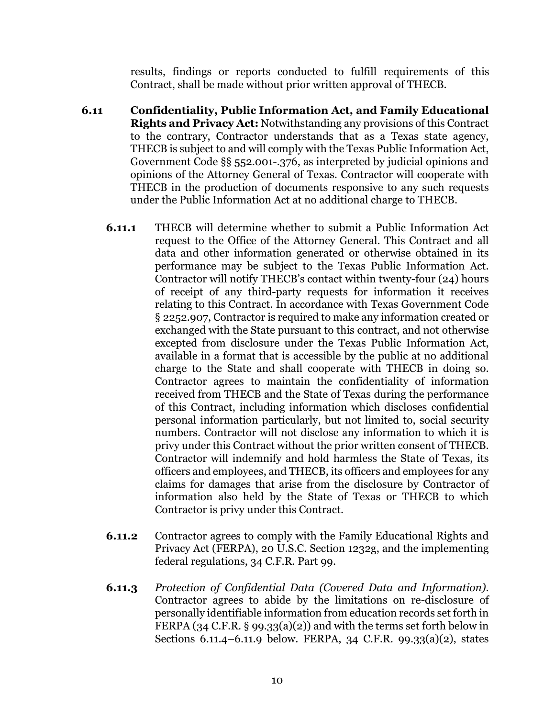results, findings or reports conducted to fulfill requirements of this Contract, shall be made without prior written approval of THECB.

- **6.11 Confidentiality, Public Information Act, and Family Educational Rights and Privacy Act:** Notwithstanding any provisions of this Contract to the contrary, Contractor understands that as a Texas state agency, THECB is subject to and will comply with the Texas Public Information Act, Government Code §§ 552.001-.376, as interpreted by judicial opinions and opinions of the Attorney General of Texas. Contractor will cooperate with THECB in the production of documents responsive to any such requests under the Public Information Act at no additional charge to THECB.
	- **6.11.1** THECB will determine whether to submit a Public Information Act request to the Office of the Attorney General. This Contract and all data and other information generated or otherwise obtained in its performance may be subject to the Texas Public Information Act. Contractor will notify THECB's contact within twenty-four (24) hours of receipt of any third-party requests for information it receives relating to this Contract. In accordance with Texas Government Code § 2252.907, Contractor is required to make any information created or exchanged with the State pursuant to this contract, and not otherwise excepted from disclosure under the Texas Public Information Act, available in a format that is accessible by the public at no additional charge to the State and shall cooperate with THECB in doing so. Contractor agrees to maintain the confidentiality of information received from THECB and the State of Texas during the performance of this Contract, including information which discloses confidential personal information particularly, but not limited to, social security numbers. Contractor will not disclose any information to which it is privy under this Contract without the prior written consent of THECB. Contractor will indemnify and hold harmless the State of Texas, its officers and employees, and THECB, its officers and employees for any claims for damages that arise from the disclosure by Contractor of information also held by the State of Texas or THECB to which Contractor is privy under this Contract.
	- **6.11.2** Contractor agrees to comply with the Family Educational Rights and Privacy Act (FERPA), 20 U.S.C. Section 1232g, and the implementing federal regulations, 34 C.F.R. Part 99.
	- **6.11.3** *Protection of Confidential Data (Covered Data and Information)*. Contractor agrees to abide by the limitations on re-disclosure of personally identifiable information from education records set forth in FERPA (34 C.F.R.  $\S$  99.33(a)(2)) and with the terms set forth below in Sections 6.11.4–6.11.9 below. FERPA, 34 C.F.R. 99.33(a)(2), states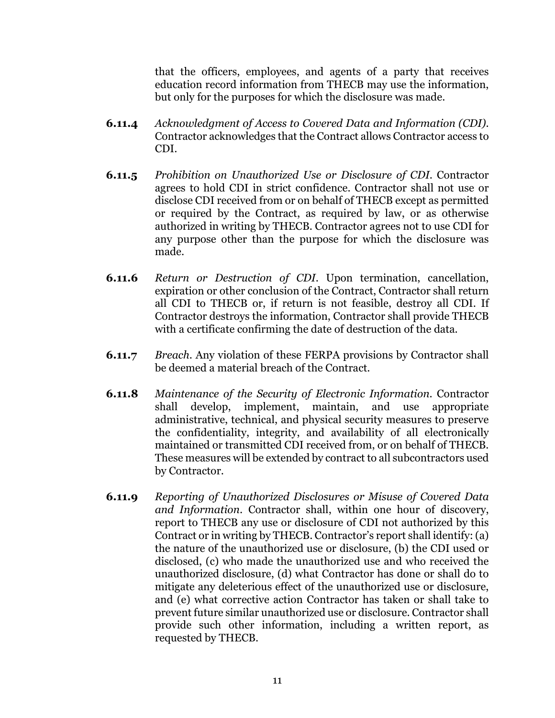that the officers, employees, and agents of a party that receives education record information from THECB may use the information, but only for the purposes for which the disclosure was made.

- **6.11.4** *Acknowledgment of Access to Covered Data and Information (CDI)*. Contractor acknowledges that the Contract allows Contractor access to CDI.
- **6.11.5** *Prohibition on Unauthorized Use or Disclosure of CDI*. Contractor agrees to hold CDI in strict confidence. Contractor shall not use or disclose CDI received from or on behalf of THECB except as permitted or required by the Contract, as required by law, or as otherwise authorized in writing by THECB. Contractor agrees not to use CDI for any purpose other than the purpose for which the disclosure was made.
- **6.11.6** *Return or Destruction of CDI*. Upon termination, cancellation, expiration or other conclusion of the Contract, Contractor shall return all CDI to THECB or, if return is not feasible, destroy all CDI. If Contractor destroys the information, Contractor shall provide THECB with a certificate confirming the date of destruction of the data.
- **6.11.7** *Breach*. Any violation of these FERPA provisions by Contractor shall be deemed a material breach of the Contract.
- **6.11.8** *Maintenance of the Security of Electronic Information*. Contractor shall develop, implement, maintain, and use appropriate administrative, technical, and physical security measures to preserve the confidentiality, integrity, and availability of all electronically maintained or transmitted CDI received from, or on behalf of THECB. These measures will be extended by contract to all subcontractors used by Contractor.
- **6.11.9** *Reporting of Unauthorized Disclosures or Misuse of Covered Data and Information*. Contractor shall, within one hour of discovery, report to THECB any use or disclosure of CDI not authorized by this Contract or in writing by THECB. Contractor's report shall identify: (a) the nature of the unauthorized use or disclosure, (b) the CDI used or disclosed, (c) who made the unauthorized use and who received the unauthorized disclosure, (d) what Contractor has done or shall do to mitigate any deleterious effect of the unauthorized use or disclosure, and (e) what corrective action Contractor has taken or shall take to prevent future similar unauthorized use or disclosure. Contractor shall provide such other information, including a written report, as requested by THECB.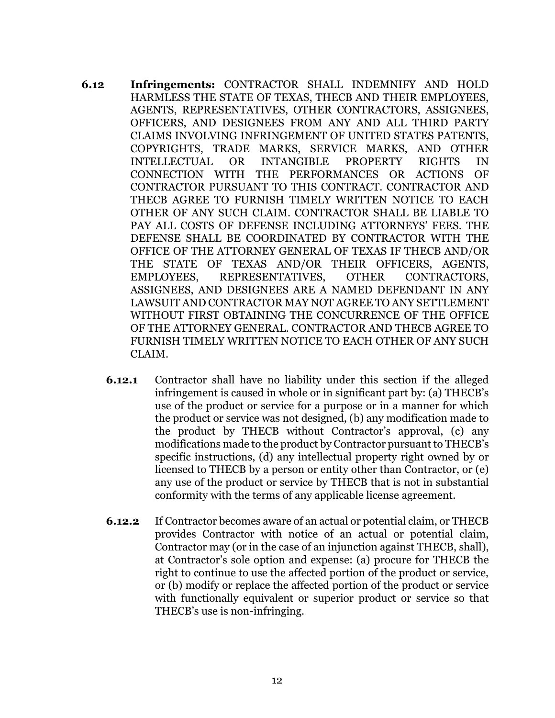- **6.12 Infringements:** CONTRACTOR SHALL INDEMNIFY AND HOLD HARMLESS THE STATE OF TEXAS, THECB AND THEIR EMPLOYEES, AGENTS, REPRESENTATIVES, OTHER CONTRACTORS, ASSIGNEES, OFFICERS, AND DESIGNEES FROM ANY AND ALL THIRD PARTY CLAIMS INVOLVING INFRINGEMENT OF UNITED STATES PATENTS, COPYRIGHTS, TRADE MARKS, SERVICE MARKS, AND OTHER INTELLECTUAL OR INTANGIBLE PROPERTY RIGHTS IN CONNECTION WITH THE PERFORMANCES OR ACTIONS OF CONTRACTOR PURSUANT TO THIS CONTRACT. CONTRACTOR AND THECB AGREE TO FURNISH TIMELY WRITTEN NOTICE TO EACH OTHER OF ANY SUCH CLAIM. CONTRACTOR SHALL BE LIABLE TO PAY ALL COSTS OF DEFENSE INCLUDING ATTORNEYS' FEES. THE DEFENSE SHALL BE COORDINATED BY CONTRACTOR WITH THE OFFICE OF THE ATTORNEY GENERAL OF TEXAS IF THECB AND/OR THE STATE OF TEXAS AND/OR THEIR OFFICERS, AGENTS, EMPLOYEES, REPRESENTATIVES, OTHER CONTRACTORS, ASSIGNEES, AND DESIGNEES ARE A NAMED DEFENDANT IN ANY LAWSUIT AND CONTRACTOR MAY NOT AGREE TO ANY SETTLEMENT WITHOUT FIRST OBTAINING THE CONCURRENCE OF THE OFFICE OF THE ATTORNEY GENERAL. CONTRACTOR AND THECB AGREE TO FURNISH TIMELY WRITTEN NOTICE TO EACH OTHER OF ANY SUCH CLAIM.
	- **6.12.1** Contractor shall have no liability under this section if the alleged infringement is caused in whole or in significant part by: (a) THECB's use of the product or service for a purpose or in a manner for which the product or service was not designed, (b) any modification made to the product by THECB without Contractor's approval, (c) any modifications made to the product by Contractor pursuant to THECB's specific instructions, (d) any intellectual property right owned by or licensed to THECB by a person or entity other than Contractor, or (e) any use of the product or service by THECB that is not in substantial conformity with the terms of any applicable license agreement.
	- **6.12.2** If Contractor becomes aware of an actual or potential claim, or THECB provides Contractor with notice of an actual or potential claim, Contractor may (or in the case of an injunction against THECB, shall), at Contractor's sole option and expense: (a) procure for THECB the right to continue to use the affected portion of the product or service, or (b) modify or replace the affected portion of the product or service with functionally equivalent or superior product or service so that THECB's use is non-infringing.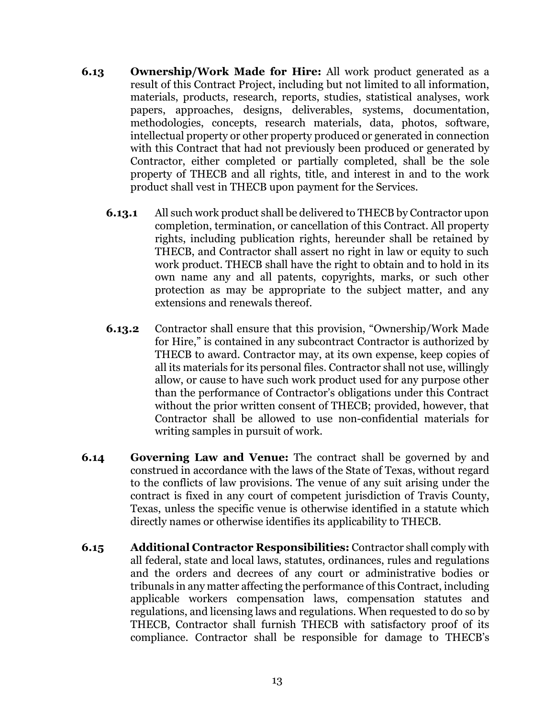- **6.13 Ownership/Work Made for Hire:** All work product generated as a result of this Contract Project, including but not limited to all information, materials, products, research, reports, studies, statistical analyses, work papers, approaches, designs, deliverables, systems, documentation, methodologies, concepts, research materials, data, photos, software, intellectual property or other property produced or generated in connection with this Contract that had not previously been produced or generated by Contractor, either completed or partially completed, shall be the sole property of THECB and all rights, title, and interest in and to the work product shall vest in THECB upon payment for the Services.
	- **6.13.1** All such work product shall be delivered to THECB by Contractor upon completion, termination, or cancellation of this Contract. All property rights, including publication rights, hereunder shall be retained by THECB, and Contractor shall assert no right in law or equity to such work product. THECB shall have the right to obtain and to hold in its own name any and all patents, copyrights, marks, or such other protection as may be appropriate to the subject matter, and any extensions and renewals thereof.
	- **6.13.2** Contractor shall ensure that this provision, "Ownership/Work Made for Hire," is contained in any subcontract Contractor is authorized by THECB to award. Contractor may, at its own expense, keep copies of all its materials for its personal files. Contractor shall not use, willingly allow, or cause to have such work product used for any purpose other than the performance of Contractor's obligations under this Contract without the prior written consent of THECB; provided, however, that Contractor shall be allowed to use non-confidential materials for writing samples in pursuit of work.
- **6.14 Governing Law and Venue:** The contract shall be governed by and construed in accordance with the laws of the State of Texas, without regard to the conflicts of law provisions. The venue of any suit arising under the contract is fixed in any court of competent jurisdiction of Travis County, Texas, unless the specific venue is otherwise identified in a statute which directly names or otherwise identifies its applicability to THECB.
- **6.15 Additional Contractor Responsibilities:** Contractor shall comply with all federal, state and local laws, statutes, ordinances, rules and regulations and the orders and decrees of any court or administrative bodies or tribunals in any matter affecting the performance of this Contract, including applicable workers compensation laws, compensation statutes and regulations, and licensing laws and regulations. When requested to do so by THECB, Contractor shall furnish THECB with satisfactory proof of its compliance. Contractor shall be responsible for damage to THECB's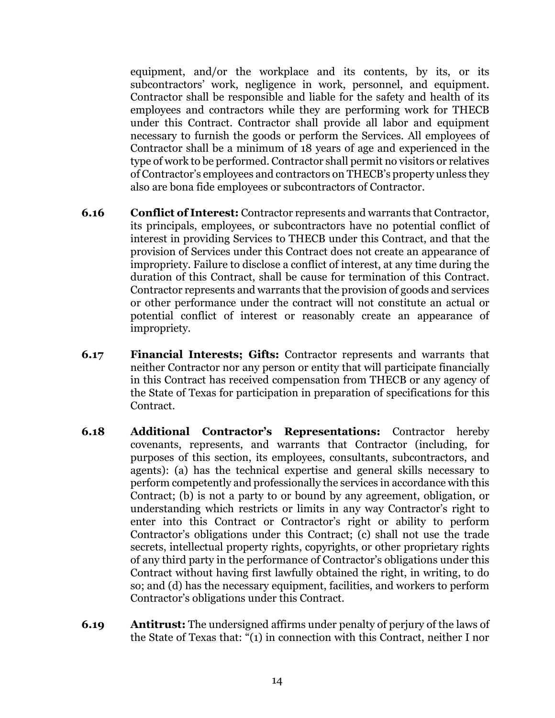equipment, and/or the workplace and its contents, by its, or its subcontractors' work, negligence in work, personnel, and equipment. Contractor shall be responsible and liable for the safety and health of its employees and contractors while they are performing work for THECB under this Contract. Contractor shall provide all labor and equipment necessary to furnish the goods or perform the Services. All employees of Contractor shall be a minimum of 18 years of age and experienced in the type of work to be performed. Contractor shall permit no visitors or relatives of Contractor's employees and contractors on THECB's property unless they also are bona fide employees or subcontractors of Contractor.

- **6.16 Conflict of Interest:** Contractor represents and warrants that Contractor, its principals, employees, or subcontractors have no potential conflict of interest in providing Services to THECB under this Contract, and that the provision of Services under this Contract does not create an appearance of impropriety. Failure to disclose a conflict of interest, at any time during the duration of this Contract, shall be cause for termination of this Contract. Contractor represents and warrants that the provision of goods and services or other performance under the contract will not constitute an actual or potential conflict of interest or reasonably create an appearance of impropriety.
- **6.17 Financial Interests; Gifts:** Contractor represents and warrants that neither Contractor nor any person or entity that will participate financially in this Contract has received compensation from THECB or any agency of the State of Texas for participation in preparation of specifications for this Contract.
- **6.18 Additional Contractor's Representations:** Contractor hereby covenants, represents, and warrants that Contractor (including, for purposes of this section, its employees, consultants, subcontractors, and agents): (a) has the technical expertise and general skills necessary to perform competently and professionally the services in accordance with this Contract; (b) is not a party to or bound by any agreement, obligation, or understanding which restricts or limits in any way Contractor's right to enter into this Contract or Contractor's right or ability to perform Contractor's obligations under this Contract; (c) shall not use the trade secrets, intellectual property rights, copyrights, or other proprietary rights of any third party in the performance of Contractor's obligations under this Contract without having first lawfully obtained the right, in writing, to do so; and (d) has the necessary equipment, facilities, and workers to perform Contractor's obligations under this Contract.
- **6.19 Antitrust:** The undersigned affirms under penalty of perjury of the laws of the State of Texas that: "(1) in connection with this Contract, neither I nor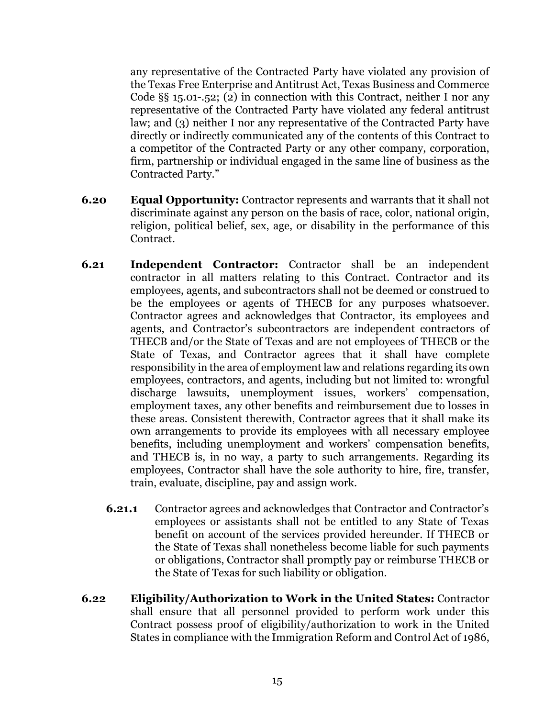any representative of the Contracted Party have violated any provision of the Texas Free Enterprise and Antitrust Act, Texas Business and Commerce Code §§ 15.01-.52; (2) in connection with this Contract, neither I nor any representative of the Contracted Party have violated any federal antitrust law; and (3) neither I nor any representative of the Contracted Party have directly or indirectly communicated any of the contents of this Contract to a competitor of the Contracted Party or any other company, corporation, firm, partnership or individual engaged in the same line of business as the Contracted Party."

- **6.20 Equal Opportunity:** Contractor represents and warrants that it shall not discriminate against any person on the basis of race, color, national origin, religion, political belief, sex, age, or disability in the performance of this Contract.
- **6.21 Independent Contractor:** Contractor shall be an independent contractor in all matters relating to this Contract. Contractor and its employees, agents, and subcontractors shall not be deemed or construed to be the employees or agents of THECB for any purposes whatsoever. Contractor agrees and acknowledges that Contractor, its employees and agents, and Contractor's subcontractors are independent contractors of THECB and/or the State of Texas and are not employees of THECB or the State of Texas, and Contractor agrees that it shall have complete responsibility in the area of employment law and relations regarding its own employees, contractors, and agents, including but not limited to: wrongful discharge lawsuits, unemployment issues, workers' compensation, employment taxes, any other benefits and reimbursement due to losses in these areas. Consistent therewith, Contractor agrees that it shall make its own arrangements to provide its employees with all necessary employee benefits, including unemployment and workers' compensation benefits, and THECB is, in no way, a party to such arrangements. Regarding its employees, Contractor shall have the sole authority to hire, fire, transfer, train, evaluate, discipline, pay and assign work.
	- **6.21.1** Contractor agrees and acknowledges that Contractor and Contractor's employees or assistants shall not be entitled to any State of Texas benefit on account of the services provided hereunder. If THECB or the State of Texas shall nonetheless become liable for such payments or obligations, Contractor shall promptly pay or reimburse THECB or the State of Texas for such liability or obligation.
- **6.22 Eligibility/Authorization to Work in the United States:** Contractor shall ensure that all personnel provided to perform work under this Contract possess proof of eligibility/authorization to work in the United States in compliance with the Immigration Reform and Control Act of 1986,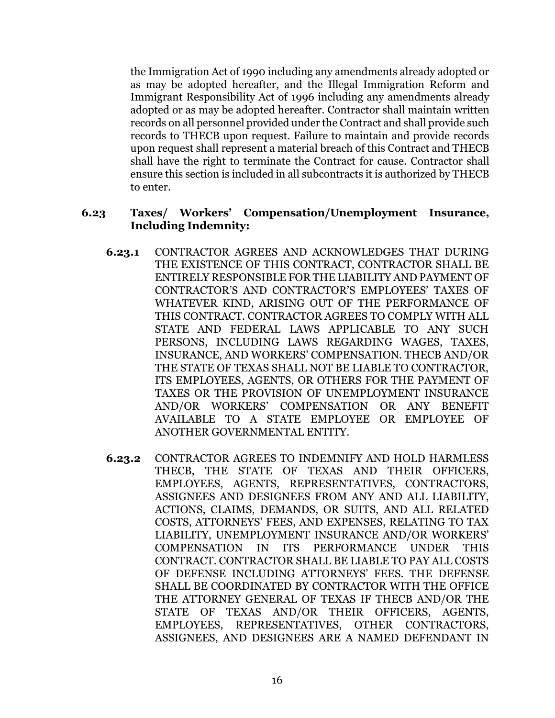the Immigration Act of 1990 including any amendments already adopted or as may be adopted hereafter, and the Illegal Immigration Reform and Immigrant Responsibility Act of 1996 including any amendments already adopted or as may be adopted hereafter. Contractor shall maintain written records on all personnel provided under the Contract and shall provide such records to THECB upon request. Failure to maintain and provide records upon request shall represent a material breach of this Contract and THECB shall have the right to terminate the Contract for cause. Contractor shall ensure this section is included in all subcontracts it is authorized by THECB to enter.

#### **6.23 Taxes/ Workers' Compensation/Unemployment Insurance, Including Indemnity:**

- **6.23.1** CONTRACTOR AGREES AND ACKNOWLEDGES THAT DURING THE EXISTENCE OF THIS CONTRACT, CONTRACTOR SHALL BE ENTIRELY RESPONSIBLE FOR THE LIABILITY AND PAYMENT OF CONTRACTOR'S AND CONTRACTOR'S EMPLOYEES' TAXES OF WHATEVER KIND, ARISING OUT OF THE PERFORMANCE OF THIS CONTRACT. CONTRACTOR AGREES TO COMPLY WITH ALL STATE AND FEDERAL LAWS APPLICABLE TO ANY SUCH PERSONS, INCLUDING LAWS REGARDING WAGES, TAXES, INSURANCE, AND WORKERS' COMPENSATION. THECB AND/OR THE STATE OF TEXAS SHALL NOT BE LIABLE TO CONTRACTOR, ITS EMPLOYEES, AGENTS, OR OTHERS FOR THE PAYMENT OF TAXES OR THE PROVISION OF UNEMPLOYMENT INSURANCE AND/OR WORKERS' COMPENSATION OR ANY BENEFIT AVAILABLE TO A STATE EMPLOYEE OR EMPLOYEE OF ANOTHER GOVERNMENTAL ENTITY.
- **6.23.2** CONTRACTOR AGREES TO INDEMNIFY AND HOLD HARMLESS THECB, THE STATE OF TEXAS AND THEIR OFFICERS, EMPLOYEES, AGENTS, REPRESENTATIVES, CONTRACTORS, ASSIGNEES AND DESIGNEES FROM ANY AND ALL LIABILITY, ACTIONS, CLAIMS, DEMANDS, OR SUITS, AND ALL RELATED COSTS, ATTORNEYS' FEES, AND EXPENSES, RELATING TO TAX LIABILITY, UNEMPLOYMENT INSURANCE AND/OR WORKERS' COMPENSATION IN ITS PERFORMANCE UNDER THIS CONTRACT. CONTRACTOR SHALL BE LIABLE TO PAY ALL COSTS OF DEFENSE INCLUDING ATTORNEYS' FEES. THE DEFENSE SHALL BE COORDINATED BY CONTRACTOR WITH THE OFFICE THE ATTORNEY GENERAL OF TEXAS IF THECB AND/OR THE STATE OF TEXAS AND/OR THEIR OFFICERS, AGENTS, EMPLOYEES, REPRESENTATIVES, OTHER CONTRACTORS, ASSIGNEES, AND DESIGNEES ARE A NAMED DEFENDANT IN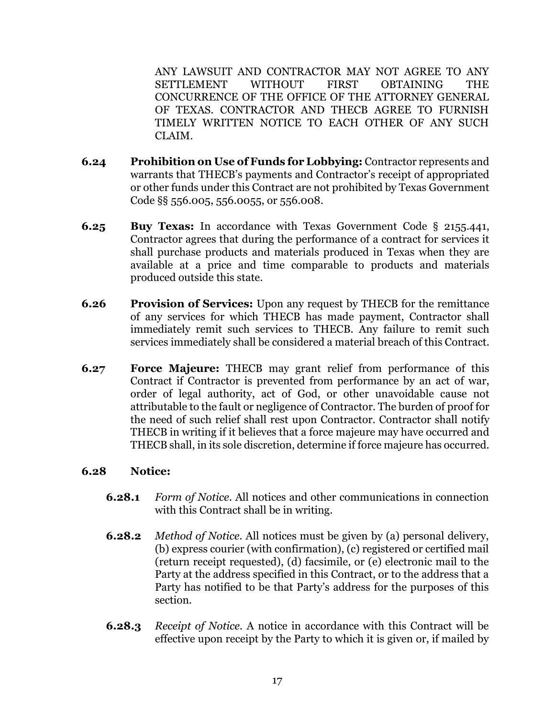ANY LAWSUIT AND CONTRACTOR MAY NOT AGREE TO ANY SETTLEMENT WITHOUT FIRST OBTAINING THE CONCURRENCE OF THE OFFICE OF THE ATTORNEY GENERAL OF TEXAS. CONTRACTOR AND THECB AGREE TO FURNISH TIMELY WRITTEN NOTICE TO EACH OTHER OF ANY SUCH CLAIM.

- **6.24 Prohibition on Use of Funds for Lobbying:** Contractor represents and warrants that THECB's payments and Contractor's receipt of appropriated or other funds under this Contract are not prohibited by Texas Government Code §§ 556.005, 556.0055, or 556.008.
- **6.25 Buy Texas:** In accordance with Texas Government Code § 2155.441, Contractor agrees that during the performance of a contract for services it shall purchase products and materials produced in Texas when they are available at a price and time comparable to products and materials produced outside this state.
- **6.26 Provision of Services:** Upon any request by THECB for the remittance of any services for which THECB has made payment, Contractor shall immediately remit such services to THECB. Any failure to remit such services immediately shall be considered a material breach of this Contract.
- **6.27 Force Majeure:** THECB may grant relief from performance of this Contract if Contractor is prevented from performance by an act of war, order of legal authority, act of God, or other unavoidable cause not attributable to the fault or negligence of Contractor. The burden of proof for the need of such relief shall rest upon Contractor. Contractor shall notify THECB in writing if it believes that a force majeure may have occurred and THECB shall, in its sole discretion, determine if force majeure has occurred.

### **6.28 Notice:**

- **6.28.1** *Form of Notice*. All notices and other communications in connection with this Contract shall be in writing.
- **6.28.2** *Method of Notice*. All notices must be given by (a) personal delivery, (b) express courier (with confirmation), (c) registered or certified mail (return receipt requested), (d) facsimile, or (e) electronic mail to the Party at the address specified in this Contract, or to the address that a Party has notified to be that Party's address for the purposes of this section.
- **6.28.3** *Receipt of Notice.* A notice in accordance with this Contract will be effective upon receipt by the Party to which it is given or, if mailed by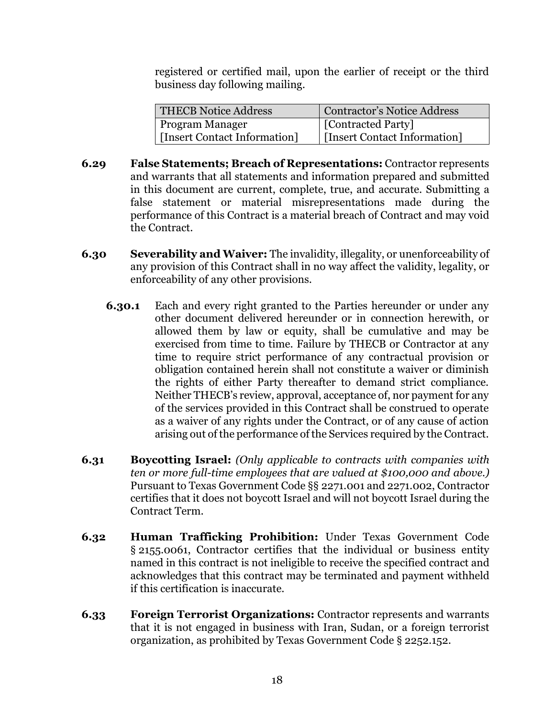registered or certified mail, upon the earlier of receipt or the third business day following mailing.

| <b>THECB Notice Address</b>  | <b>Contractor's Notice Address</b> |
|------------------------------|------------------------------------|
| <b>Program Manager</b>       | <b>[Contracted Party]</b>          |
| [Insert Contact Information] | [Insert Contact Information]       |

- **6.29 False Statements; Breach of Representations:** Contractor represents and warrants that all statements and information prepared and submitted in this document are current, complete, true, and accurate. Submitting a false statement or material misrepresentations made during the performance of this Contract is a material breach of Contract and may void the Contract.
- **6.30 Severability and Waiver:** The invalidity, illegality, or unenforceability of any provision of this Contract shall in no way affect the validity, legality, or enforceability of any other provisions.
	- **6.30.1** Each and every right granted to the Parties hereunder or under any other document delivered hereunder or in connection herewith, or allowed them by law or equity, shall be cumulative and may be exercised from time to time. Failure by THECB or Contractor at any time to require strict performance of any contractual provision or obligation contained herein shall not constitute a waiver or diminish the rights of either Party thereafter to demand strict compliance. Neither THECB's review, approval, acceptance of, nor payment for any of the services provided in this Contract shall be construed to operate as a waiver of any rights under the Contract, or of any cause of action arising out of the performance of the Services required by the Contract.
- **6.31 Boycotting Israel:** *(Only applicable to contracts with companies with ten or more full-time employees that are valued at \$100,000 and above.)* Pursuant to Texas Government Code §§ 2271.001 and 2271.002, Contractor certifies that it does not boycott Israel and will not boycott Israel during the Contract Term.
- **6.32 Human Trafficking Prohibition:** Under Texas Government Code § 2155.0061, Contractor certifies that the individual or business entity named in this contract is not ineligible to receive the specified contract and acknowledges that this contract may be terminated and payment withheld if this certification is inaccurate.
- **6.33 Foreign Terrorist Organizations:** Contractor represents and warrants that it is not engaged in business with Iran, Sudan, or a foreign terrorist organization, as prohibited by Texas Government Code § 2252.152.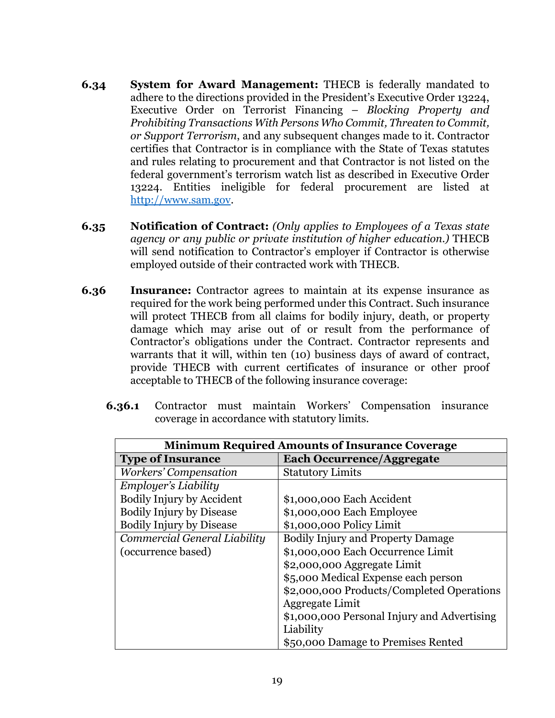- **6.34 System for Award Management:** THECB is federally mandated to adhere to the directions provided in the President's Executive Order 13224, Executive Order on Terrorist Financing – *Blocking Property and Prohibiting Transactions With Persons Who Commit, Threaten to Commit, or Support Terrorism*, and any subsequent changes made to it. Contractor certifies that Contractor is in compliance with the State of Texas statutes and rules relating to procurement and that Contractor is not listed on the federal government's terrorism watch list as described in Executive Order 13224. Entities ineligible for federal procurement are listed at [http://www.sam.gov.](http://www.sam.gov/)
- **6.35 Notification of Contract:** *(Only applies to Employees of a Texas state agency or any public or private institution of higher education.)* THECB will send notification to Contractor's employer if Contractor is otherwise employed outside of their contracted work with THECB.
- **6.36 Insurance:** Contractor agrees to maintain at its expense insurance as required for the work being performed under this Contract. Such insurance will protect THECB from all claims for bodily injury, death, or property damage which may arise out of or result from the performance of Contractor's obligations under the Contract. Contractor represents and warrants that it will, within ten (10) business days of award of contract, provide THECB with current certificates of insurance or other proof acceptable to THECB of the following insurance coverage:
	- **6.36.1** Contractor must maintain Workers' Compensation insurance coverage in accordance with statutory limits.

| <b>Minimum Required Amounts of Insurance Coverage</b> |                                             |  |  |
|-------------------------------------------------------|---------------------------------------------|--|--|
| <b>Type of Insurance</b>                              | <b>Each Occurrence/Aggregate</b>            |  |  |
| Workers' Compensation                                 | <b>Statutory Limits</b>                     |  |  |
| Employer's Liability                                  |                                             |  |  |
| <b>Bodily Injury by Accident</b>                      | \$1,000,000 Each Accident                   |  |  |
| <b>Bodily Injury by Disease</b>                       | \$1,000,000 Each Employee                   |  |  |
| <b>Bodily Injury by Disease</b>                       | \$1,000,000 Policy Limit                    |  |  |
| Commercial General Liability                          | <b>Bodily Injury and Property Damage</b>    |  |  |
| (occurrence based)                                    | \$1,000,000 Each Occurrence Limit           |  |  |
|                                                       | \$2,000,000 Aggregate Limit                 |  |  |
|                                                       | \$5,000 Medical Expense each person         |  |  |
|                                                       | \$2,000,000 Products/Completed Operations   |  |  |
|                                                       | Aggregate Limit                             |  |  |
|                                                       | \$1,000,000 Personal Injury and Advertising |  |  |
|                                                       | Liability                                   |  |  |
|                                                       | \$50,000 Damage to Premises Rented          |  |  |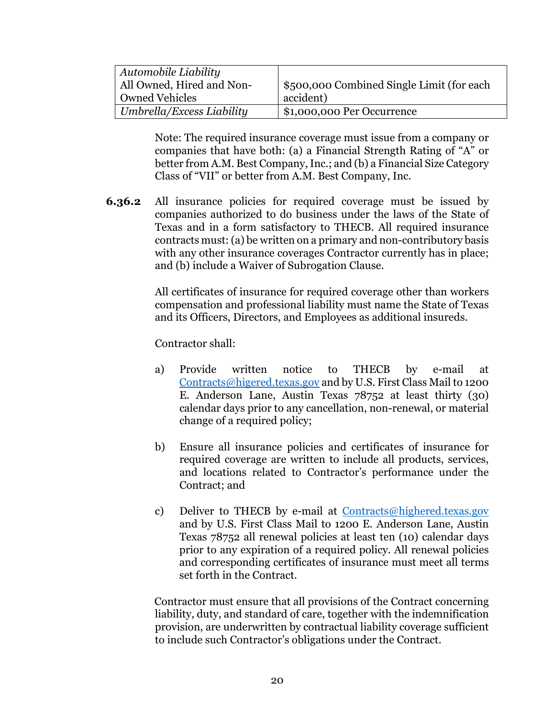| Automobile Liability      |                                           |
|---------------------------|-------------------------------------------|
| All Owned, Hired and Non- | \$500,000 Combined Single Limit (for each |
| <b>Owned Vehicles</b>     | accident)                                 |
| Umbrella/Excess Liability | \$1,000,000 Per Occurrence                |

Note: The required insurance coverage must issue from a company or companies that have both: (a) a Financial Strength Rating of "A" or better from A.M. Best Company, Inc.; and (b) a Financial Size Category Class of "VII" or better from A.M. Best Company, Inc.

**6.36.2** All insurance policies for required coverage must be issued by companies authorized to do business under the laws of the State of Texas and in a form satisfactory to THECB. All required insurance contracts must:(a) be written on a primary and non-contributory basis with any other insurance coverages Contractor currently has in place; and (b) include a Waiver of Subrogation Clause.

> All certificates of insurance for required coverage other than workers compensation and professional liability must name the State of Texas and its Officers, Directors, and Employees as additional insureds.

Contractor shall:

- a) Provide written notice to THECB by e-mail at [Contracts@higered.texas.gov](mailto:Contracts@higered.texas.gov) and by U.S. First Class Mail to 1200 E. Anderson Lane, Austin Texas 78752 at least thirty (30) calendar days prior to any cancellation, non-renewal, or material change of a required policy;
- b) Ensure all insurance policies and certificates of insurance for required coverage are written to include all products, services, and locations related to Contractor's performance under the Contract; and
- c) Deliver to THECB by e-mail at [Contracts@highered.texas.gov](mailto:Contracts@highered.texas.gov) and by U.S. First Class Mail to 1200 E. Anderson Lane, Austin Texas 78752 all renewal policies at least ten (10) calendar days prior to any expiration of a required policy. All renewal policies and corresponding certificates of insurance must meet all terms set forth in the Contract.

Contractor must ensure that all provisions of the Contract concerning liability, duty, and standard of care, together with the indemnification provision, are underwritten by contractual liability coverage sufficient to include such Contractor's obligations under the Contract.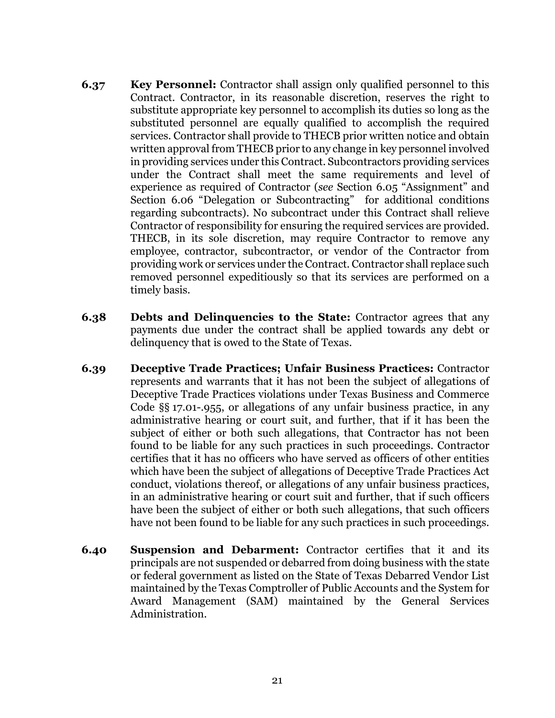- **6.37 Key Personnel:** Contractor shall assign only qualified personnel to this Contract. Contractor, in its reasonable discretion, reserves the right to substitute appropriate key personnel to accomplish its duties so long as the substituted personnel are equally qualified to accomplish the required services. Contractor shall provide to THECB prior written notice and obtain written approval from THECB prior to any change in key personnel involved in providing services under this Contract. Subcontractors providing services under the Contract shall meet the same requirements and level of experience as required of Contractor (*see* Section 6.05 "Assignment" and Section 6.06 "Delegation or Subcontracting" for additional conditions regarding subcontracts). No subcontract under this Contract shall relieve Contractor of responsibility for ensuring the required services are provided. THECB, in its sole discretion, may require Contractor to remove any employee, contractor, subcontractor, or vendor of the Contractor from providing work or services under the Contract. Contractor shall replace such removed personnel expeditiously so that its services are performed on a timely basis.
- **6.38 Debts and Delinquencies to the State:** Contractor agrees that any payments due under the contract shall be applied towards any debt or delinquency that is owed to the State of Texas.
- **6.39 Deceptive Trade Practices; Unfair Business Practices:** Contractor represents and warrants that it has not been the subject of allegations of Deceptive Trade Practices violations under Texas Business and Commerce Code §§ 17.01-.955, or allegations of any unfair business practice, in any administrative hearing or court suit, and further, that if it has been the subject of either or both such allegations, that Contractor has not been found to be liable for any such practices in such proceedings. Contractor certifies that it has no officers who have served as officers of other entities which have been the subject of allegations of Deceptive Trade Practices Act conduct, violations thereof, or allegations of any unfair business practices, in an administrative hearing or court suit and further, that if such officers have been the subject of either or both such allegations, that such officers have not been found to be liable for any such practices in such proceedings.
- **6.40 Suspension and Debarment:** Contractor certifies that it and its principals are not suspended or debarred from doing business with the state or federal government as listed on the State of Texas Debarred Vendor List maintained by the Texas Comptroller of Public Accounts and the System for Award Management (SAM) maintained by the General Services Administration.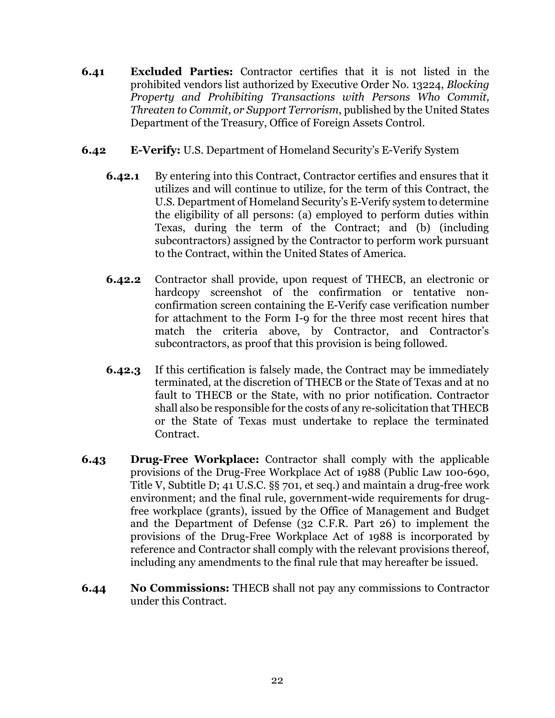- **6.41 Excluded Parties:** Contractor certifies that it is not listed in the prohibited vendors list authorized by Executive Order No. 13224, *Blocking Property and Prohibiting Transactions with Persons Who Commit, Threaten to Commit, or Support Terrorism*, published by the United States Department of the Treasury, Office of Foreign Assets Control.
- **6.42 E-Verify:** U.S. Department of Homeland Security's E-Verify System
	- **6.42.1** By entering into this Contract, Contractor certifies and ensures that it utilizes and will continue to utilize, for the term of this Contract, the U.S. Department of Homeland Security's E-Verify system to determine the eligibility of all persons: (a) employed to perform duties within Texas, during the term of the Contract; and (b) (including subcontractors) assigned by the Contractor to perform work pursuant to the Contract, within the United States of America.
	- **6.42.2** Contractor shall provide, upon request of THECB, an electronic or hardcopy screenshot of the confirmation or tentative nonconfirmation screen containing the E-Verify case verification number for attachment to the Form I-9 for the three most recent hires that match the criteria above, by Contractor, and Contractor's subcontractors, as proof that this provision is being followed.
	- **6.42.3** If this certification is falsely made, the Contract may be immediately terminated, at the discretion of THECB or the State of Texas and at no fault to THECB or the State, with no prior notification. Contractor shall also be responsible for the costs of any re-solicitation that THECB or the State of Texas must undertake to replace the terminated Contract.
- **6.43 Drug-Free Workplace:** Contractor shall comply with the applicable provisions of the Drug-Free Workplace Act of 1988 (Public Law 100-690, Title V, Subtitle D; 41 U.S.C. §§ 701, et seq.) and maintain a drug-free work environment; and the final rule, government-wide requirements for drugfree workplace (grants), issued by the Office of Management and Budget and the Department of Defense (32 C.F.R. Part 26) to implement the provisions of the Drug-Free Workplace Act of 1988 is incorporated by reference and Contractor shall comply with the relevant provisions thereof, including any amendments to the final rule that may hereafter be issued.
- **6.44 No Commissions:** THECB shall not pay any commissions to Contractor under this Contract.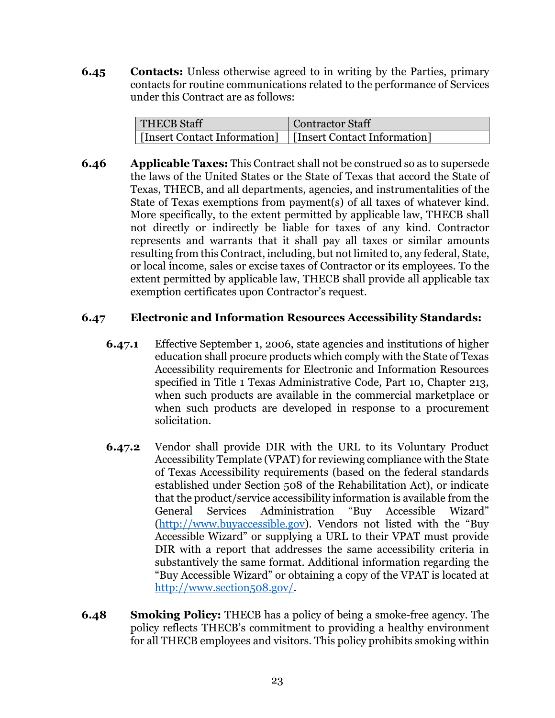**6.45 Contacts:** Unless otherwise agreed to in writing by the Parties, primary contacts for routine communications related to the performance of Services under this Contract are as follows:

| <b>THECB Staff</b>                                          | <b>Contractor Staff</b> |
|-------------------------------------------------------------|-------------------------|
| [Insert Contact Information]   [Insert Contact Information] |                         |

**6.46 Applicable Taxes:** This Contract shall not be construed so as to supersede the laws of the United States or the State of Texas that accord the State of Texas, THECB, and all departments, agencies, and instrumentalities of the State of Texas exemptions from payment(s) of all taxes of whatever kind. More specifically, to the extent permitted by applicable law, THECB shall not directly or indirectly be liable for taxes of any kind. Contractor represents and warrants that it shall pay all taxes or similar amounts resulting from this Contract, including, but not limited to, any federal, State, or local income, sales or excise taxes of Contractor or its employees. To the extent permitted by applicable law, THECB shall provide all applicable tax exemption certificates upon Contractor's request.

### **6.47 Electronic and Information Resources Accessibility Standards:**

- **6.47.1** Effective September 1, 2006, state agencies and institutions of higher education shall procure products which comply with the State of Texas Accessibility requirements for Electronic and Information Resources specified in Title 1 Texas Administrative Code, Part 10, Chapter 213, when such products are available in the commercial marketplace or when such products are developed in response to a procurement solicitation.
- **6.47.2** Vendor shall provide DIR with the URL to its Voluntary Product Accessibility Template (VPAT) for reviewing compliance with the State of Texas Accessibility requirements (based on the federal standards established under Section 508 of the Rehabilitation Act), or indicate that the product/service accessibility information is available from the General Services Administration "Buy Accessible Wizard" [\(http://www.buyaccessible.gov\)](http://www.buyaccessible.gov/). Vendors not listed with the "Buy Accessible Wizard" or supplying a URL to their VPAT must provide DIR with a report that addresses the same accessibility criteria in substantively the same format. Additional information regarding the "Buy Accessible Wizard" or obtaining a copy of the VPAT is located at [http://www.section508.gov/.](http://www.section508.gov/)
- **6.48 Smoking Policy:** THECB has a policy of being a smoke-free agency. The policy reflects THECB's commitment to providing a healthy environment for all THECB employees and visitors. This policy prohibits smoking within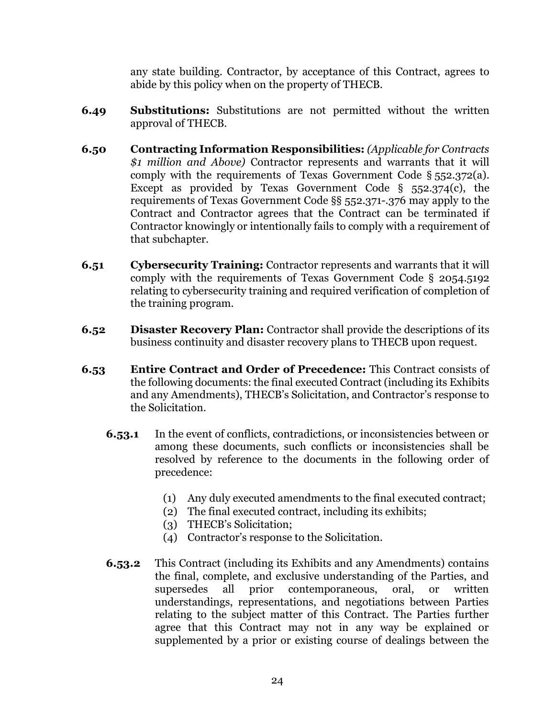any state building. Contractor, by acceptance of this Contract, agrees to abide by this policy when on the property of THECB.

- **6.49 Substitutions:** Substitutions are not permitted without the written approval of THECB.
- **6.50 Contracting Information Responsibilities:** *(Applicable for Contracts \$1 million and Above)* Contractor represents and warrants that it will comply with the requirements of Texas Government Code § 552.372(a). Except as provided by Texas Government Code § 552.374(c), the requirements of Texas Government Code §§ 552.371-.376 may apply to the Contract and Contractor agrees that the Contract can be terminated if Contractor knowingly or intentionally fails to comply with a requirement of that subchapter.
- **6.51 Cybersecurity Training:** Contractor represents and warrants that it will comply with the requirements of Texas Government Code § 2054.5192 relating to cybersecurity training and required verification of completion of the training program.
- **6.52 Disaster Recovery Plan:** Contractor shall provide the descriptions of its business continuity and disaster recovery plans to THECB upon request.
- **6.53 Entire Contract and Order of Precedence:** This Contract consists of the following documents: the final executed Contract (including its Exhibits and any Amendments), THECB's Solicitation, and Contractor's response to the Solicitation.
	- **6.53.1** In the event of conflicts, contradictions, or inconsistencies between or among these documents, such conflicts or inconsistencies shall be resolved by reference to the documents in the following order of precedence:
		- (1) Any duly executed amendments to the final executed contract;
		- (2) The final executed contract, including its exhibits;
		- (3) THECB's Solicitation;
		- (4) Contractor's response to the Solicitation.
	- **6.53.2** This Contract (including its Exhibits and any Amendments) contains the final, complete, and exclusive understanding of the Parties, and supersedes all prior contemporaneous, oral, or written understandings, representations, and negotiations between Parties relating to the subject matter of this Contract. The Parties further agree that this Contract may not in any way be explained or supplemented by a prior or existing course of dealings between the